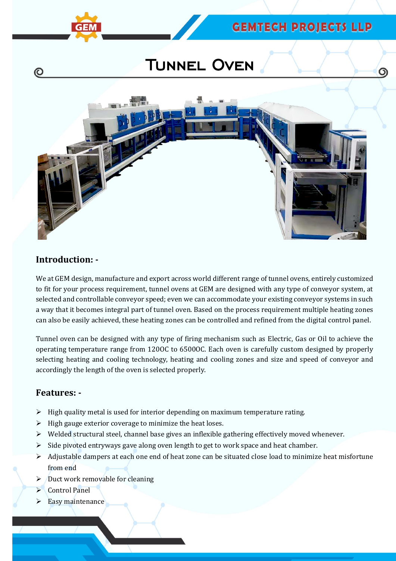$\circ$ 

# Tunnel Oven



### **Introduction: -**

(C)

We at GEM design, manufacture and export across world different range of tunnel ovens, entirely customized to fit for your process requirement, tunnel ovens at GEM are designed with any type of conveyor system, at selected and controllable conveyor speed; even we can accommodate your existing conveyor systems in such a way that it becomes integral part of tunnel oven. Based on the process requirement multiple heating zones can also be easily achieved, these heating zones can be controlled and refined from the digital control panel.

Tunnel oven can be designed with any type of firing mechanism such as Electric, Gas or Oil to achieve the operating temperature range from 120OC to 6500OC. Each oven is carefully custom designed by properly selecting heating and cooling technology, heating and cooling zones and size and speed of conveyor and accordingly the length of the oven is selected properly.

#### **Features: -**

- $\triangleright$  High quality metal is used for interior depending on maximum temperature rating.
- $\triangleright$  High gauge exterior coverage to minimize the heat loses.
- $\triangleright$  Welded structural steel, channel base gives an inflexible gathering effectively moved whenever.
- $\triangleright$  Side pivoted entryways gave along oven length to get to work space and heat chamber.
- $\triangleright$  Adjustable dampers at each one end of heat zone can be situated close load to minimize heat misfortune from end
- $\triangleright$  Duct work removable for cleaning
- Control Panel
- $\triangleright$  Easy maintenance